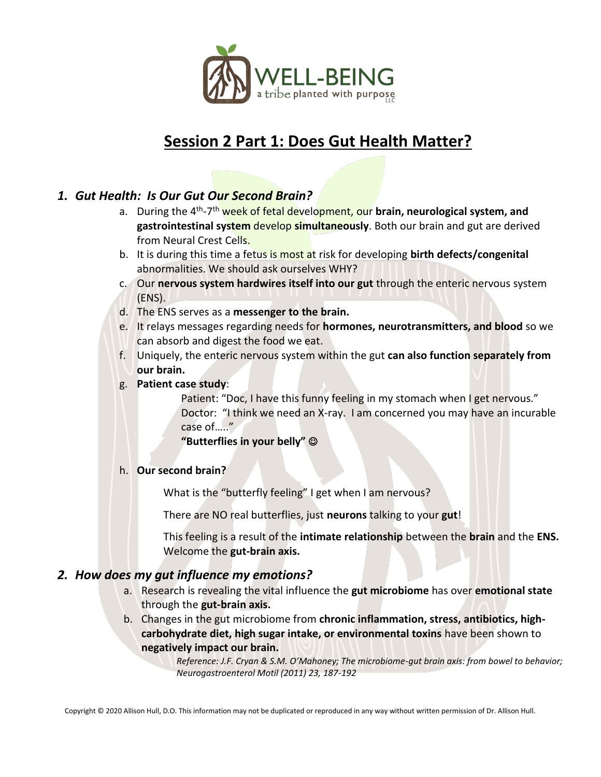

# **Session 2 Part 1: Does Gut Health Matter?**

## *1. Gut Health: Is Our Gut Our Second Brain?*

- a. During the 4<sup>th</sup>-7<sup>th</sup> week of fetal development, our brain, neurological system, and **gastrointestinal system** develop **simultaneously**. Both our brain and gut are derived from Neural Crest Cells.
- b. It is during this time a fetus is most at risk for developing **birth defects/congenital**  abnormalities. We should ask ourselves WHY?
- c. Our **nervous system hardwires itself into our gut** through the enteric nervous system (ENS).
- d. The ENS serves as a **messenger to the brain.**
- e. It relays messages regarding needs for **hormones, neurotransmitters, and blood** so we can absorb and digest the food we eat.
- f. Uniquely, the enteric nervous system within the gut **can also function separately from our brain.**
- g. **Patient case study**:

Patient: "Doc, I have this funny feeling in my stomach when I get nervous." 2) Doctor: "I think we need an X-ray. I am concerned you may have an incurable case of….."

**"Butterflies in your belly"** ☺

h. **Our second brain?** 

What is the "butterfly feeling" I get when I am nervous?

There are NO real butterflies, just **neurons** talking to your **gut**!

This feeling is a result of the **intimate relationship** between the **brain** and the **ENS.** Welcome the **gut-brain axis.**

## *2. How does my gut influence my emotions?*

- a. Research is revealing the vital influence the **gut microbiome** has over **emotional state**  through the **gut-brain axis.**
- b. Changes in the gut microbiome from **chronic inflammation, stress, antibiotics, highcarbohydrate diet, high sugar intake, or environmental toxins** have been shown to **negatively impact our brain.**

*Reference: J.F. Cryan & S.M. O'Mahoney; The microbiome-gut brain axis: from bowel to behavior; Neurogastroenterol Motil (2011) 23, 187-192*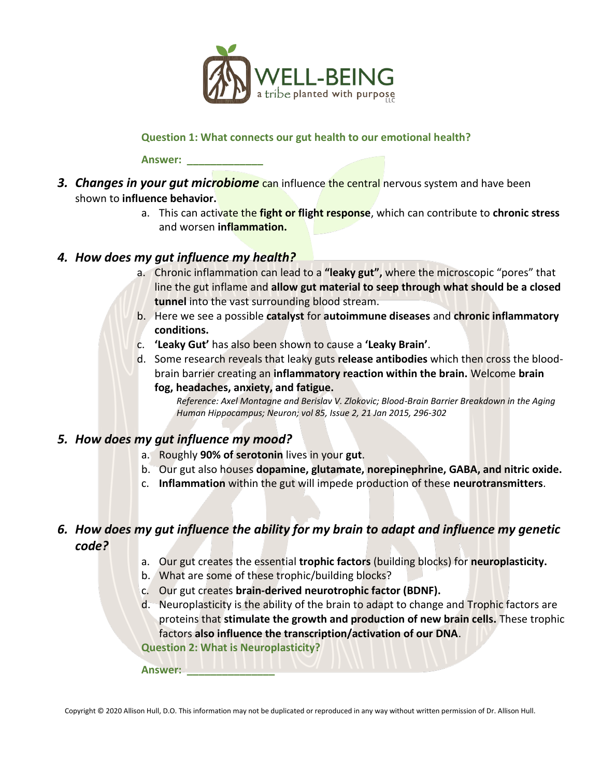

#### **Question 1: What connects our gut health to our emotional health?**

#### **Answer: \_\_\_\_\_\_\_\_\_\_\_\_\_**

- **3. Changes in your gut microbiome** can influence the central nervous system and have been shown to **influence behavior.** 
	- a. This can activate the **fight or flight response**, which can contribute to **chronic stress** and worsen **inflammation.**

## *4. How does my gut influence my health?*

- a. Chronic inflammation can lead to a **"leaky gut",** where the microscopic "pores" that line the gut inflame and **allow gut material to seep through what should be a closed tunnel** into the vast surrounding blood stream.
- b. Here we see a possible **catalyst** for **autoimmune diseases** and **chronic inflammatory conditions.**
- c. **'Leaky Gut'** has also been shown to cause a **'Leaky Brain'**.
- d. Some research reveals that leaky guts **release antibodies** which then cross the bloodbrain barrier creating an **inflammatory reaction within the brain.** Welcome **brain fog, headaches, anxiety, and fatigue.**

*Reference: Axel Montagne and Berislav V. Zlokovic; Blood-Brain Barrier Breakdown in the Aging Human Hippocampus; Neuron; vol 85, Issue 2, 21 Jan 2015, 296-302*

#### *5. How does my gut influence my mood?*

- a. Roughly **90% of serotonin** lives in your **gut**.
- b. Our gut also houses **dopamine, glutamate, norepinephrine, GABA, and nitric oxide.**
- c. **Inflammation** within the gut will impede production of these **neurotransmitters**.
- *6. How does my gut influence the ability for my brain to adapt and influence my genetic code?* 
	- a. Our gut creates the essential **trophic factors** (building blocks) for **neuroplasticity.**
	- b. What are some of these trophic/building blocks?
	- c. Our gut creates **brain-derived neurotrophic factor (BDNF).**
	- d. Neuroplasticity is the ability of the brain to adapt to change and Trophic factors are proteins that **stimulate the growth and production of new brain cells.** These trophic factors **also influence the transcription/activation of our DNA**.

**Question 2: What is Neuroplasticity?** 

#### **Answer: \_\_\_\_\_\_\_\_\_\_\_\_\_\_\_**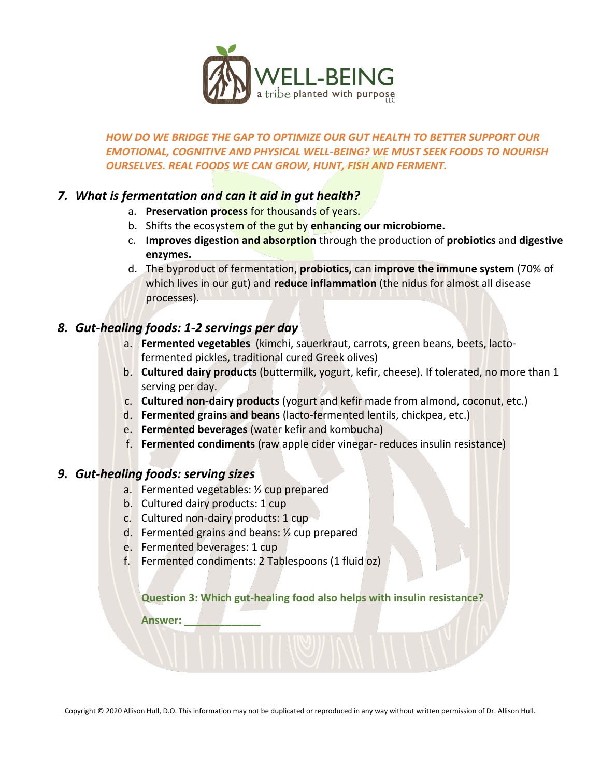

#### *HOW DO WE BRIDGE THE GAP TO OPTIMIZE OUR GUT HEALTH TO BETTER SUPPORT OUR EMOTIONAL, COGNITIVE AND PHYSICAL WELL-BEING? WE MUST SEEK FOODS TO NOURISH OURSELVES. REAL FOODS WE CAN GROW, HUNT, FISH AND FERMENT.*

## *7. What is fermentation and can it aid in gut health?*

- a. **Preservation process** for thousands of years.
- b. Shifts the ecosystem of the gut by **enhancing our microbiome.**
- c. **Improves digestion and absorption** through the production of **probiotics** and **digestive enzymes.**
- d. The byproduct of fermentation, **probiotics,** can **improve the immune system** (70% of which lives in our gut) and **reduce inflammation** (the nidus for almost all disease processes).

## *8. Gut-healing foods: 1-2 servings per day*

- a. **Fermented vegetables** (kimchi, sauerkraut, carrots, green beans, beets, lactofermented pickles, traditional cured Greek olives)
- b. **Cultured dairy products** (buttermilk, yogurt, kefir, cheese). If tolerated, no more than 1 serving per day.
- c. **Cultured non-dairy products** (yogurt and kefir made from almond, coconut, etc.)
- d. **Fermented grains and beans** (lacto-fermented lentils, chickpea, etc.)
- e. **Fermented beverages** (water kefir and kombucha)
- f. **Fermented condiments** (raw apple cider vinegar- reduces insulin resistance)

#### *9. Gut-healing foods: serving sizes*

- a. Fermented vegetables: ½ cup prepared
- b. Cultured dairy products: 1 cup
- c. Cultured non-dairy products: 1 cup
- d. Fermented grains and beans: ½ cup prepared
- e. Fermented beverages: 1 cup
- f. Fermented condiments: 2 Tablespoons (1 fluid oz)

**Question 3: Which gut-healing food also helps with insulin resistance?**

**Answer: \_\_\_\_\_\_\_\_\_\_\_\_\_**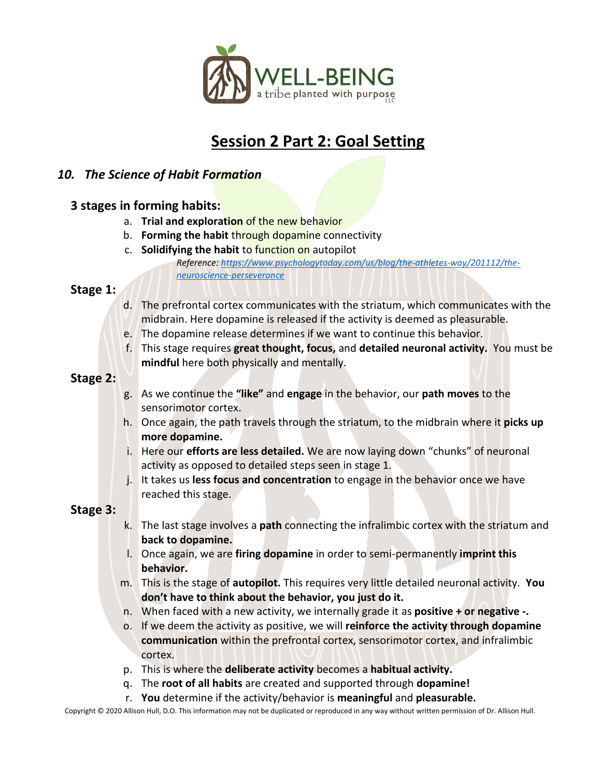

# **Session 2 Part 2: Goal Setting**

## *10. The Science of Habit Formation*

#### **3 stages in forming habits:**

- a. **Trial and exploration** of the new behavior
- b. **Forming the habit** through dopamine connectivity
- c. **Solidifying the habit** to function on autopilot *Reference: [https://www.psychologytoday.com/us/blog/the-athletes-way/201112/the](https://www.psychologytoday.com/us/blog/the-athletes-way/201112/the-neuroscience-perseverance)[neuroscience-perseverance](https://www.psychologytoday.com/us/blog/the-athletes-way/201112/the-neuroscience-perseverance)*

#### **Stage 1:**

- d. The prefrontal cortex communicates with the striatum, which communicates with the midbrain. Here dopamine is released if the activity is deemed as pleasurable.
- e. The dopamine release determines if we want to continue this behavior.
- f. This stage requires **great thought, focus,** and **detailed neuronal activity.** You must be **mindful** here both physically and mentally.

## **Stage 2:**

- g. As we continue the **"like"** and **engage** in the behavior, our **path moves** to the sensorimotor cortex.
- h. Once again, the path travels through the striatum, to the midbrain where it **picks up more dopamine.**
- i. Here our **efforts are less detailed.** We are now laying down "chunks" of neuronal activity as opposed to detailed steps seen in stage 1.
- j. It takes us **less focus and concentration** to engage in the behavior once we have reached this stage.

## **Stage 3:**

- k. The last stage involves a **path** connecting the infralimbic cortex with the striatum and **back to dopamine.**
- l. Once again, we are **firing dopamine** in order to semi-permanently **imprint this behavior.**
- m. This is the stage of **autopilot.** This requires very little detailed neuronal activity. **You don't have to think about the behavior, you just do it.**
- n. When faced with a new activity, we internally grade it as **positive + or negative -.**
- o. If we deem the activity as positive, we will **reinforce the activity through dopamine communication** within the prefrontal cortex, sensorimotor cortex, and infralimbic cortex.
- p. This is where the **deliberate activity** becomes a **habitual activity.**
- q. The **root of all habits** are created and supported through **dopamine!**
- r. **You** determine if the activity/behavior is **meaningful** and **pleasurable.**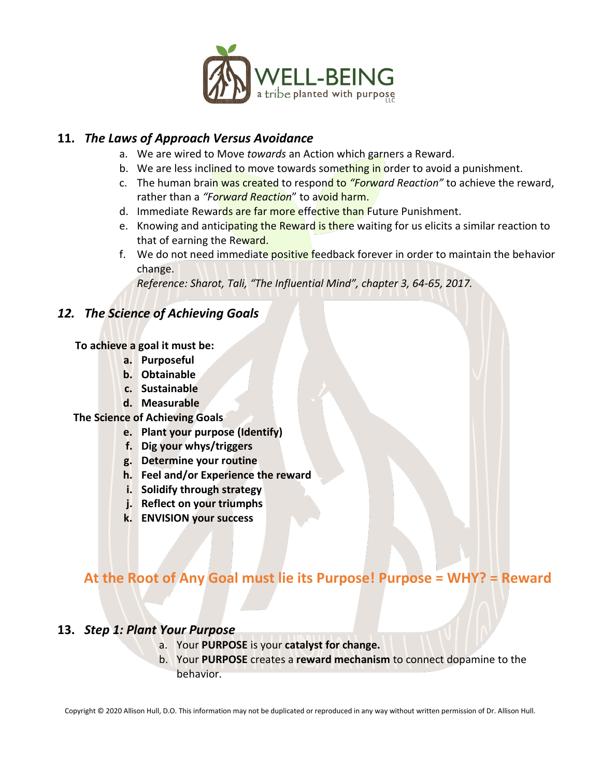

## **11.** *The Laws of Approach Versus Avoidance*

- a. We are wired to Move *towards* an Action which garners a Reward.
- b. We are less inclined to move towards something in order to avoid a punishment.
- c. The human brain was created to respond to *"Forward Reaction"* to achieve the reward, rather than a *"Forward Reaction*" to avoid harm.
- d. Immediate Rewards are far more effective than Future Punishment.
- e. Knowing and anticipating the Reward is there waiting for us elicits a similar reaction to that of earning the Reward.
- f. We do not need immediate positive feedback forever in order to maintain the behavior change.

*Reference: Sharot, Tali, "The Influential Mind", chapter 3, 64-65, 2017.*

## *12. The Science of Achieving Goals*

**To achieve a goal it must be:**

- **a. Purposeful**
- **b. Obtainable**
- **c. Sustainable**
- **d. Measurable**

**The Science of Achieving Goals**

- **e. Plant your purpose (Identify)**
- **f. Dig your whys/triggers**
- **g. Determine your routine**
- **h. Feel and/or Experience the reward**
- **i. Solidify through strategy**
- **j. Reflect on your triumphs**
- **k. ENVISION your success**

## **At the Root of Any Goal must lie its Purpose! Purpose = WHY? = Reward**

#### **13.** *Step 1: Plant Your Purpose*

- a. Your **PURPOSE** is your **catalyst for change.**
- b. Your **PURPOSE** creates a **reward mechanism** to connect dopamine to the behavior.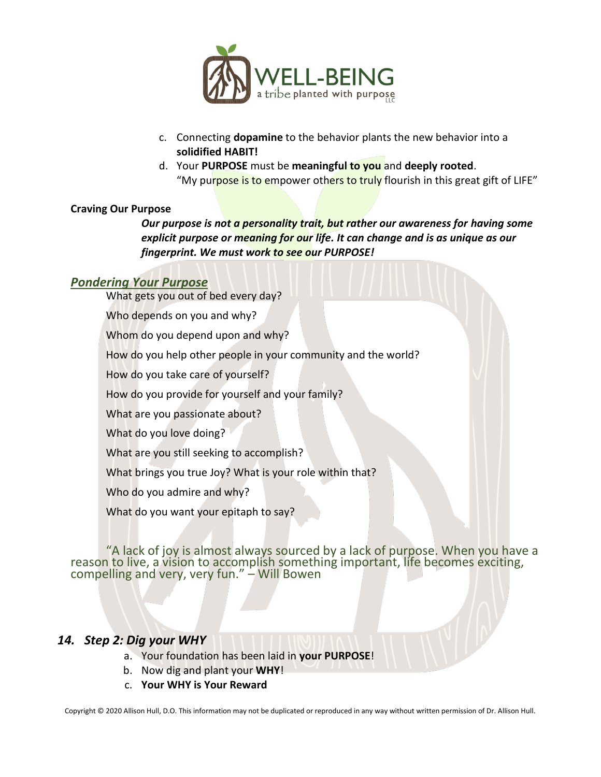

- c. Connecting **dopamine** to the behavior plants the new behavior into a **solidified HABIT!**
- d. Your **PURPOSE** must be **meaningful to you** and **deeply rooted**. "My purpose is to empower others to truly flourish in this great gift of LIFE"

#### **Craving Our Purpose**

*Our purpose is not a personality trait, but rather our awareness for having some explicit purpose or meaning for our life. It can change and is as unique as our fingerprint. We must work to see our PURPOSE!*

#### *Pondering Your Purpose*

What gets you out of bed every day?

Who depends on you and why?

Whom do you depend upon and why?

How do you help other people in your community and the world?

How do you take care of yourself?

How do you provide for yourself and your family?

What are you passionate about?

What do you love doing?

What are you still seeking to accomplish?

What brings you true Joy? What is your role within that?

Who do you admire and why?

What do you want your epitaph to say?

"A lack of joy is almost always sourced by a lack of purpose. When you have a reason to live, a vision to accomplish something important, life becomes exciting, compelling and very, very fun." – Will Bowen

#### *14. Step 2: Dig your WHY*

- a. Your foundation has been laid in **your PURPOSE**!
- b. Now dig and plant your **WHY**!
- c. **Your WHY is Your Reward**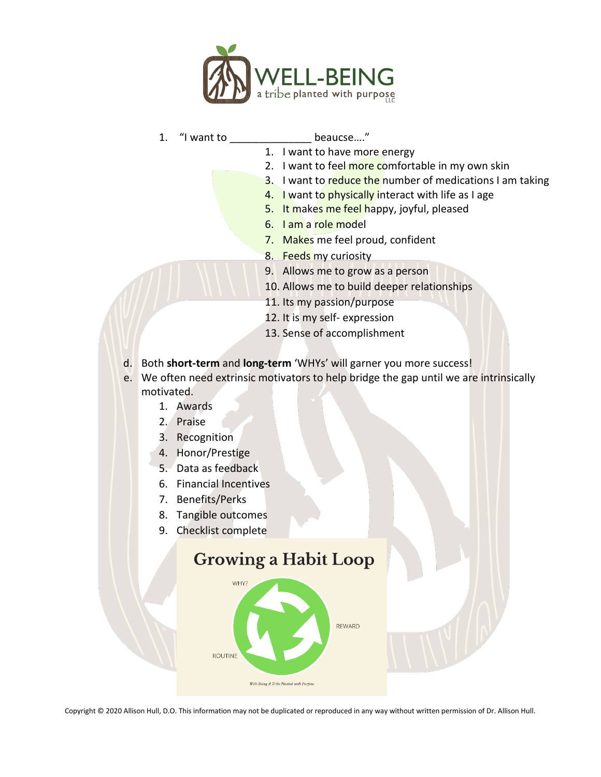

#### 1. "I want to \_\_\_\_\_\_\_\_\_\_\_\_\_\_ beaucse…."

- 1. I want to have more energy
- 2. I want to feel more comfortable in my own skin
- 3. I want to reduce the number of medications I am taking
- 4. I want to physically interact with life as I age
- 5. It makes me feel happy, joyful, pleased
- 6. I am a role model
- 7. Makes me feel proud, confident
- 8. Feeds my curiosity
- 9. Allows me to grow as a person
- 10. Allows me to build deeper relationships
- 11. Its my passion/purpose
- 12. It is my self- expression
- 13. Sense of accomplishment
- d. Both **short-term** and **long-term** 'WHYs' will garner you more success!
- e. We often need extrinsic motivators to help bridge the gap until we are intrinsically motivated.
	- 1. Awards
	- 2. Praise
	- 3. Recognition
	- 4. Honor/Prestige
	- 5. Data as feedback
	- 6. Financial Incentives
	- 7. Benefits/Perks
	- 8. Tangible outcomes
	- 9. Checklist complete

## **Growing a Habit Loop**

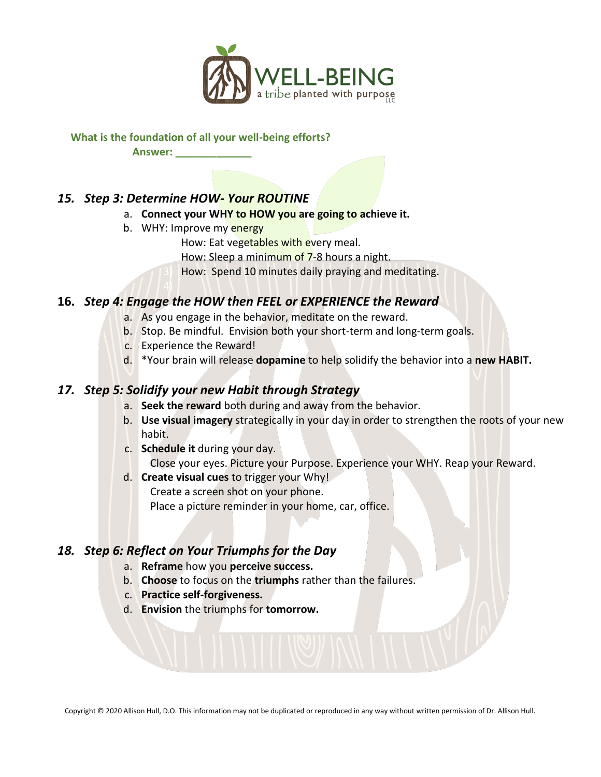

## **What is the foundation of all your well-being efforts?**

**Answer: \_\_\_\_\_\_\_\_\_\_\_\_\_**

## *15. Step 3: Determine HOW- Your ROUTINE*

- a. **Connect your WHY to HOW you are going to achieve it.**
- b. WHY: Improve my energy
	- How: Eat vegetables with every meal.

How: Sleep a minimum of 7-8 hours a night.

How: Spend 10 minutes daily praying and meditating.

## **16.** *Step 4: Engage the HOW then FEEL or EXPERIENCE the Reward*

- a. As you engage in the behavior, meditate on the reward.
- b. Stop. Be mindful. Envision both your short-term and long-term goals.
- c. Experience the Reward!
- d. \*Your brain will release **dopamine** to help solidify the behavior into a **new HABIT.**

## *17. Step 5: Solidify your new Habit through Strategy*

- a. **Seek the reward** both during and away from the behavior.
- b. **Use visual imagery** strategically in your day in order to strengthen the roots of your new habit.
- c. **Schedule it** during your day. Close your eyes. Picture your Purpose. Experience your WHY. Reap your Reward.
- d. **Create visual cues** to trigger your Why! Create a screen shot on your phone. Place a picture reminder in your home, car, office.

## *18. Step 6: Reflect on Your Triumphs for the Day*

- a. **Reframe** how you **perceive success.**
- b. **Choose** to focus on the **triumphs** rather than the failures.
- c. **Practice self-forgiveness.**
- d. **Envision** the triumphs for **tomorrow.**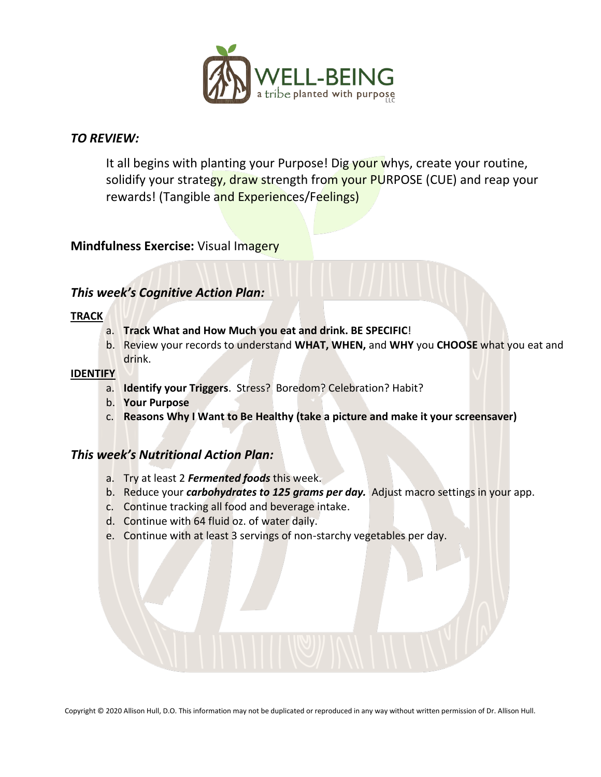

### *TO REVIEW:*

It all begins with planting your Purpose! Dig your whys, create your routine, solidify your strategy, draw strength from your PURPOSE (CUE) and reap your rewards! (Tangible and Experiences/Feelings)

#### **Mindfulness Exercise:** Visual Imagery

## *This week's Cognitive Action Plan:*

#### **TRACK**

- a. **Track What and How Much you eat and drink. BE SPECIFIC**!
- b. Review your records to understand **WHAT, WHEN,** and **WHY** you **CHOOSE** what you eat and drink.

#### **IDENTIFY**

- a. **Identify your Triggers**. Stress? Boredom? Celebration? Habit?
- b. **Your Purpose**
- c. **Reasons Why I Want to Be Healthy (take a picture and make it your screensaver)**

#### *This week's Nutritional Action Plan:*

- a. Try at least 2 *Fermented foods* this week.
- b. Reduce your *carbohydrates to 125 grams per day.* Adjust macro settings in your app.
- c. Continue tracking all food and beverage intake.
- d. Continue with 64 fluid oz. of water daily.
- e. Continue with at least 3 servings of non-starchy vegetables per day.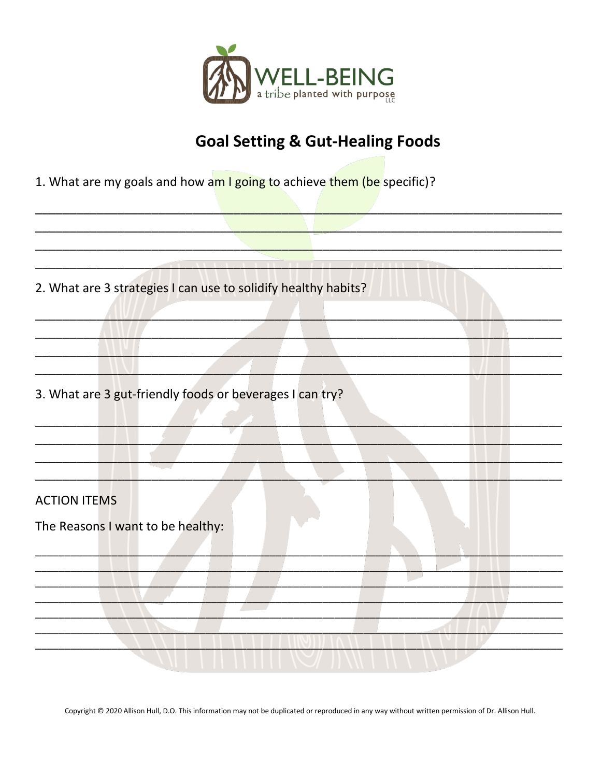

# **Goal Setting & Gut-Healing Foods**

1. What are my goals and how am I going to achieve them (be specific)?

| 2. What are 3 strategies I can use to solidify healthy habits? |
|----------------------------------------------------------------|
|                                                                |
|                                                                |
|                                                                |
| 3. What are 3 gut-friendly foods or beverages I can try?       |
|                                                                |
|                                                                |
|                                                                |
| <b>ACTION ITEMS</b>                                            |
| The Reasons I want to be healthy:                              |
|                                                                |
|                                                                |
|                                                                |
|                                                                |
|                                                                |
|                                                                |
|                                                                |